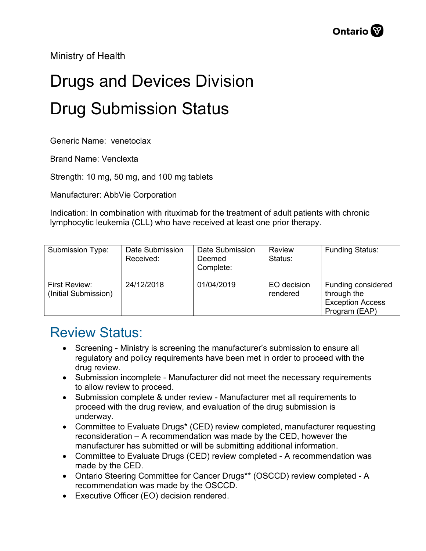Ministry of Health

## Drugs and Devices Division Drug Submission Status

Generic Name: venetoclax

Brand Name: Venclexta

Strength: 10 mg, 50 mg, and 100 mg tablets

Manufacturer: AbbVie Corporation

Indication: In combination with rituximab for the treatment of adult patients with chronic lymphocytic leukemia (CLL) who have received at least one prior therapy.

| Submission Type:                             | Date Submission<br>Received: | Date Submission<br>Deemed<br>Complete: | Review<br>Status:       | <b>Funding Status:</b>                                                        |
|----------------------------------------------|------------------------------|----------------------------------------|-------------------------|-------------------------------------------------------------------------------|
| <b>First Review:</b><br>(Initial Submission) | 24/12/2018                   | 01/04/2019                             | EO decision<br>rendered | Funding considered<br>through the<br><b>Exception Access</b><br>Program (EAP) |

## Review Status:

- Screening Ministry is screening the manufacturer's submission to ensure all regulatory and policy requirements have been met in order to proceed with the drug review.
- Submission incomplete Manufacturer did not meet the necessary requirements to allow review to proceed.
- Submission complete & under review Manufacturer met all requirements to proceed with the drug review, and evaluation of the drug submission is underway.
- Committee to Evaluate Drugs\* (CED) review completed, manufacturer requesting reconsideration – A recommendation was made by the CED, however the manufacturer has submitted or will be submitting additional information.
- Committee to Evaluate Drugs (CED) review completed A recommendation was made by the CED.
- Ontario Steering Committee for Cancer Drugs\*\* (OSCCD) review completed A recommendation was made by the OSCCD.
- Executive Officer (EO) decision rendered.